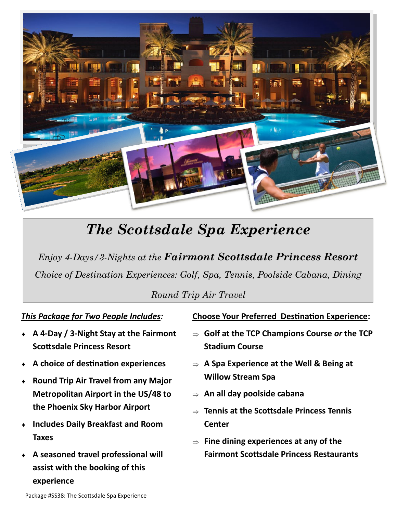

# *The Scottsdale Spa Experience*

*Enjoy 4-Days/3-Nights at the Fairmont Scottsdale Princess Resort Choice of Destination Experiences: Golf, Spa, Tennis, Poolside Cabana, Dining*

*Round Trip Air Travel*

## *This Package for Two People Includes:*

- **A 4-Day / 3-Night Stay at the Fairmont Scottsdale Princess Resort**
- **A choice of destination experiences**
- **Round Trip Air Travel from any Major Metropolitan Airport in the US/48 to the Phoenix Sky Harbor Airport**
- **Includes Daily Breakfast and Room Taxes**
- **A seasoned travel professional will assist with the booking of this experience**

### **Choose Your Preferred Destination Experience:**

- **Golf at the TCP Champions Course** *or* **the TCP Stadium Course**
- **A Spa Experience at the Well & Being at Willow Stream Spa**
- **An all day poolside cabana**
- **Tennis at the Scottsdale Princess Tennis Center**
- **Fine dining experiences at any of the Fairmont Scottsdale Princess Restaurants**